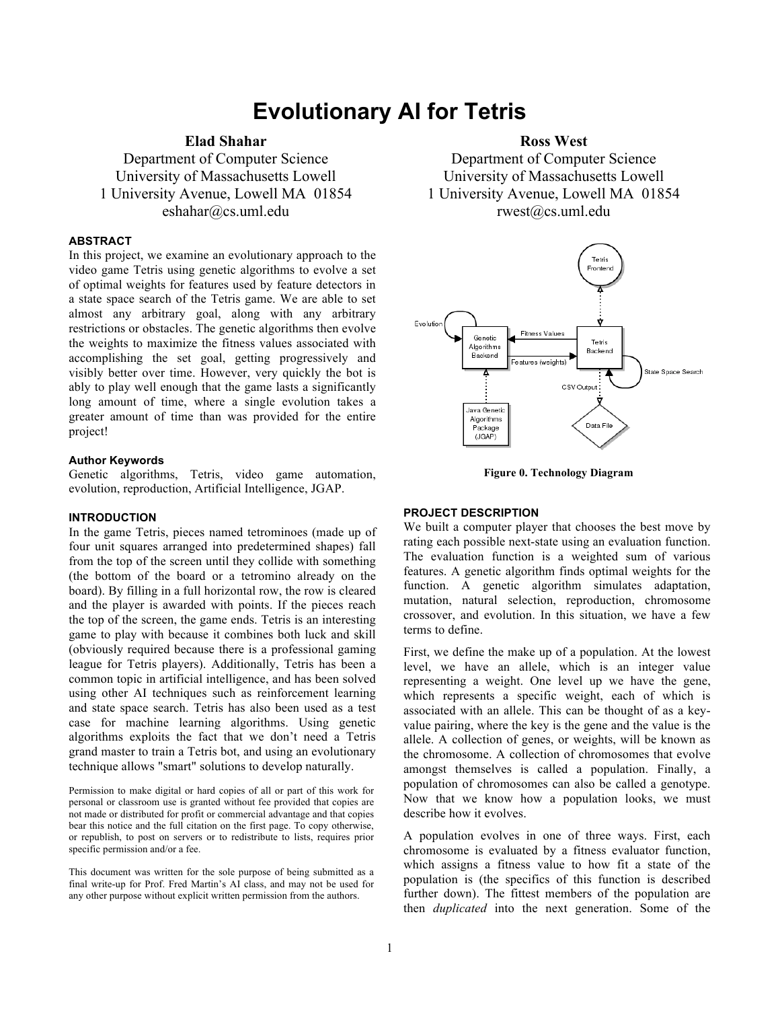# **Evolutionary AI for Tetris**

# **Elad Shahar**

Department of Computer Science University of Massachusetts Lowell 1 University Avenue, Lowell MA 01854 eshahar@cs.uml.edu

#### **ABSTRACT**

In this project, we examine an evolutionary approach to the video game Tetris using genetic algorithms to evolve a set of optimal weights for features used by feature detectors in a state space search of the Tetris game. We are able to set almost any arbitrary goal, along with any arbitrary restrictions or obstacles. The genetic algorithms then evolve the weights to maximize the fitness values associated with accomplishing the set goal, getting progressively and visibly better over time. However, very quickly the bot is ably to play well enough that the game lasts a significantly long amount of time, where a single evolution takes a greater amount of time than was provided for the entire project!

#### **Author Keywords**

Genetic algorithms, Tetris, video game automation, evolution, reproduction, Artificial Intelligence, JGAP.

#### **INTRODUCTION**

In the game Tetris, pieces named tetrominoes (made up of four unit squares arranged into predetermined shapes) fall from the top of the screen until they collide with something (the bottom of the board or a tetromino already on the board). By filling in a full horizontal row, the row is cleared and the player is awarded with points. If the pieces reach the top of the screen, the game ends. Tetris is an interesting game to play with because it combines both luck and skill (obviously required because there is a professional gaming league for Tetris players). Additionally, Tetris has been a common topic in artificial intelligence, and has been solved using other AI techniques such as reinforcement learning and state space search. Tetris has also been used as a test case for machine learning algorithms. Using genetic algorithms exploits the fact that we don't need a Tetris grand master to train a Tetris bot, and using an evolutionary technique allows "smart" solutions to develop naturally.

Permission to make digital or hard copies of all or part of this work for personal or classroom use is granted without fee provided that copies are not made or distributed for profit or commercial advantage and that copies bear this notice and the full citation on the first page. To copy otherwise, or republish, to post on servers or to redistribute to lists, requires prior specific permission and/or a fee.

This document was written for the sole purpose of being submitted as a final write-up for Prof. Fred Martin's AI class, and may not be used for any other purpose without explicit written permission from the authors.

## **Ross West**

Department of Computer Science University of Massachusetts Lowell 1 University Avenue, Lowell MA 01854 rwest@cs.uml.edu



**Figure 0. Technology Diagram**

### **PROJECT DESCRIPTION**

We built a computer player that chooses the best move by rating each possible next-state using an evaluation function. The evaluation function is a weighted sum of various features. A genetic algorithm finds optimal weights for the function. A genetic algorithm simulates adaptation, mutation, natural selection, reproduction, chromosome crossover, and evolution. In this situation, we have a few terms to define.

First, we define the make up of a population. At the lowest level, we have an allele, which is an integer value representing a weight. One level up we have the gene, which represents a specific weight, each of which is associated with an allele. This can be thought of as a keyvalue pairing, where the key is the gene and the value is the allele. A collection of genes, or weights, will be known as the chromosome. A collection of chromosomes that evolve amongst themselves is called a population. Finally, a population of chromosomes can also be called a genotype. Now that we know how a population looks, we must describe how it evolves.

A population evolves in one of three ways. First, each chromosome is evaluated by a fitness evaluator function, which assigns a fitness value to how fit a state of the population is (the specifics of this function is described further down). The fittest members of the population are then *duplicated* into the next generation. Some of the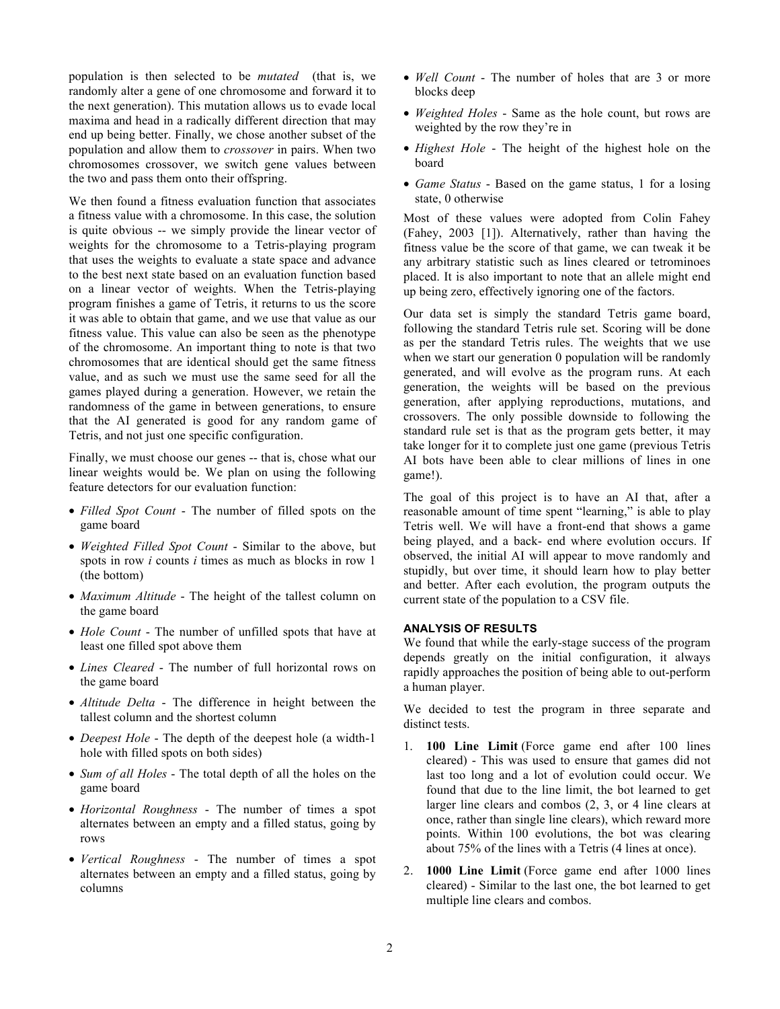population is then selected to be *mutated* (that is, we randomly alter a gene of one chromosome and forward it to the next generation). This mutation allows us to evade local maxima and head in a radically different direction that may end up being better. Finally, we chose another subset of the population and allow them to *crossover* in pairs. When two chromosomes crossover, we switch gene values between the two and pass them onto their offspring.

We then found a fitness evaluation function that associates a fitness value with a chromosome. In this case, the solution is quite obvious -- we simply provide the linear vector of weights for the chromosome to a Tetris-playing program that uses the weights to evaluate a state space and advance to the best next state based on an evaluation function based on a linear vector of weights. When the Tetris-playing program finishes a game of Tetris, it returns to us the score it was able to obtain that game, and we use that value as our fitness value. This value can also be seen as the phenotype of the chromosome. An important thing to note is that two chromosomes that are identical should get the same fitness value, and as such we must use the same seed for all the games played during a generation. However, we retain the randomness of the game in between generations, to ensure that the AI generated is good for any random game of Tetris, and not just one specific configuration.

Finally, we must choose our genes -- that is, chose what our linear weights would be. We plan on using the following feature detectors for our evaluation function:

- *Filled Spot Count* The number of filled spots on the game board
- *Weighted Filled Spot Count* Similar to the above, but spots in row *i* counts *i* times as much as blocks in row 1 (the bottom)
- *Maximum Altitude* The height of the tallest column on the game board
- *Hole Count* The number of unfilled spots that have at least one filled spot above them
- *Lines Cleared* The number of full horizontal rows on the game board
- *Altitude Delta* The difference in height between the tallest column and the shortest column
- *Deepest Hole* The depth of the deepest hole (a width-1 hole with filled spots on both sides)
- *Sum of all Holes* The total depth of all the holes on the game board
- *Horizontal Roughness* The number of times a spot alternates between an empty and a filled status, going by rows
- *Vertical Roughness* The number of times a spot alternates between an empty and a filled status, going by columns
- *Well Count* The number of holes that are 3 or more blocks deep
- *Weighted Holes* Same as the hole count, but rows are weighted by the row they're in
- *Highest Hole* The height of the highest hole on the board
- *Game Status* Based on the game status, 1 for a losing state, 0 otherwise

Most of these values were adopted from Colin Fahey (Fahey, 2003 [1]). Alternatively, rather than having the fitness value be the score of that game, we can tweak it be any arbitrary statistic such as lines cleared or tetrominoes placed. It is also important to note that an allele might end up being zero, effectively ignoring one of the factors.

Our data set is simply the standard Tetris game board, following the standard Tetris rule set. Scoring will be done as per the standard Tetris rules. The weights that we use when we start our generation 0 population will be randomly generated, and will evolve as the program runs. At each generation, the weights will be based on the previous generation, after applying reproductions, mutations, and crossovers. The only possible downside to following the standard rule set is that as the program gets better, it may take longer for it to complete just one game (previous Tetris AI bots have been able to clear millions of lines in one game!).

The goal of this project is to have an AI that, after a reasonable amount of time spent "learning," is able to play Tetris well. We will have a front-end that shows a game being played, and a back- end where evolution occurs. If observed, the initial AI will appear to move randomly and stupidly, but over time, it should learn how to play better and better. After each evolution, the program outputs the current state of the population to a CSV file.

#### **ANALYSIS OF RESULTS**

We found that while the early-stage success of the program depends greatly on the initial configuration, it always rapidly approaches the position of being able to out-perform a human player.

We decided to test the program in three separate and distinct tests.

- 1. **100 Line Limit** (Force game end after 100 lines cleared) - This was used to ensure that games did not last too long and a lot of evolution could occur. We found that due to the line limit, the bot learned to get larger line clears and combos (2, 3, or 4 line clears at once, rather than single line clears), which reward more points. Within 100 evolutions, the bot was clearing about 75% of the lines with a Tetris (4 lines at once).
- 2. **1000 Line Limit** (Force game end after 1000 lines cleared) - Similar to the last one, the bot learned to get multiple line clears and combos.